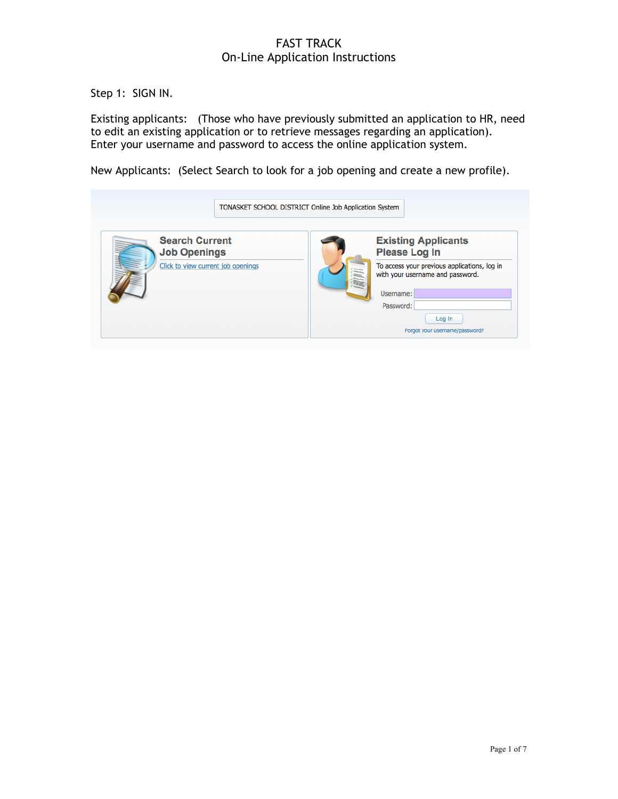Step 1: SIGN IN.

Existing applicants: (Those who have previously submitted an application to HR, need to edit an existing application or to retrieve messages regarding an application). Enter your username and password to access the online application system.

New Applicants: (Select Search to look for a job opening and create a new profile).

| TONASKET SCHOOL DISTRICT Online Job Application System                             |  |  |                                                                                                                                                                                                              |  |  |  |  |
|------------------------------------------------------------------------------------|--|--|--------------------------------------------------------------------------------------------------------------------------------------------------------------------------------------------------------------|--|--|--|--|
| <b>Search Current</b><br><b>Job Openings</b><br>Click to view current job openings |  |  | <b>Existing Applicants</b><br><b>Please Log In</b><br>To access your previous applications, log in<br>with your username and password.<br>Username:<br>Password:<br>Log In<br>Forgot your username/password? |  |  |  |  |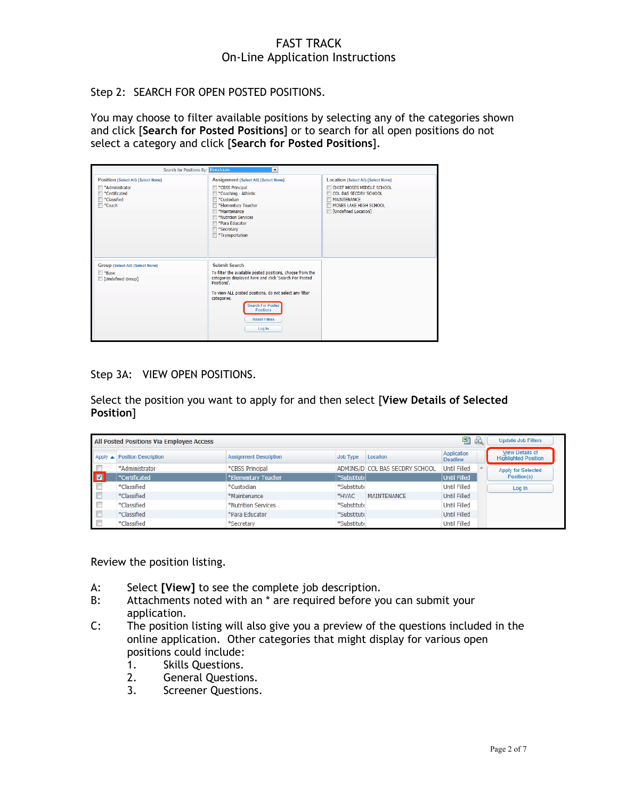Step 2: SEARCH FOR OPEN POSTED POSITIONS.

You may choose to filter available positions by selecting any of the categories shown and click [**Search for Posted Positions**] or to search for all open positions do not select a category and click [**Search for Posted Positions**].

| Search for Positions By: Position                                                                                                      | $\blacktriangledown$                                                                                                                                                                                                                                                                                           |                                                                                                                                                                    |
|----------------------------------------------------------------------------------------------------------------------------------------|----------------------------------------------------------------------------------------------------------------------------------------------------------------------------------------------------------------------------------------------------------------------------------------------------------------|--------------------------------------------------------------------------------------------------------------------------------------------------------------------|
| Position (Select All) (Select None)<br>*Administrator<br>$\blacksquare$ *Certificated<br><sup>*</sup> Classified<br><sup>*</sup> Coach | Assignment (Select All) (Select None)<br>*CBSS Principal<br>*Coaching - Athletic<br>*Custodian<br>*Elementary Teacher<br>*Maintenance<br>*Nutrition Services<br>*Para Educator<br>*Secretary<br>*Transportation                                                                                                | Location (Select All) (Select None)<br>CHIEF MOSES MIDDLE SCHOOL<br>COL BAS SECDRY SCHOOL<br><b>MAINTENANCE</b><br>MOSES LAKE HIGH SCHOOL<br>[Condefined Location] |
| Group (Select All) (Select None)<br><sup>*</sup> Base<br>[Undefined Group]                                                             | Submit Search<br>To filter the available posted positions, choose from the<br>categories displayed here and click 'Search For Posted<br>Positions'.<br>To view ALL posted positions, do not select any filter<br>categories.<br><b>Search For Posted</b><br><b>Positions</b><br><b>Reset Filters</b><br>Log In |                                                                                                                                                                    |

Step 3A: VIEW OPEN POSITIONS.

Select the position you want to apply for and then select [**View Details of Selected Position**]

| All Posted Positions Via Employee Access |                              |                               |             | 到上                             | <b>Update Job Filters</b>      |                                                       |
|------------------------------------------|------------------------------|-------------------------------|-------------|--------------------------------|--------------------------------|-------------------------------------------------------|
|                                          | Apply ▲ Position Description | <b>Assignment Description</b> | Job Type    | Location                       | Application<br><b>Deadline</b> | <b>View Details of</b><br><b>Highlighted Position</b> |
|                                          | *Administrator               | *CBSS Principal               |             | ADMINS/D COL BAS SECDRY SCHOOL | Until Filled                   | Apply for Selected                                    |
| $\blacksquare$                           | *Certificated                | *Elementary Teacher           | *Substitut( |                                | Until Filled                   | Position(s)                                           |
|                                          | *Classified                  | *Custodian                    | *Substitute |                                | <b>Until Filled</b>            | Log In                                                |
|                                          | *Classified                  | *Maintenance                  | *HVAC       | <b>MAINTENANCE</b>             | Until Filled                   |                                                       |
| $\Box$                                   | *Classified                  | *Nutrition Services           | *Substitute |                                | <b>Until Filled</b>            |                                                       |
| $\Box$                                   | *Classified                  | *Para Educator                | *Substitute |                                | Until Filled                   |                                                       |
|                                          | *Classified                  | *Secretary                    | *Substitute |                                | <b>Until Filled</b>            |                                                       |

Review the position listing.

- A: Select **[View]** to see the complete job description.
- B: Attachments noted with an \* are required before you can submit your application.
- C: The position listing will also give you a preview of the questions included in the online application. Other categories that might display for various open positions could include:
	- 1. Skills Questions.
	- 2. General Questions.
	- 3. Screener Questions.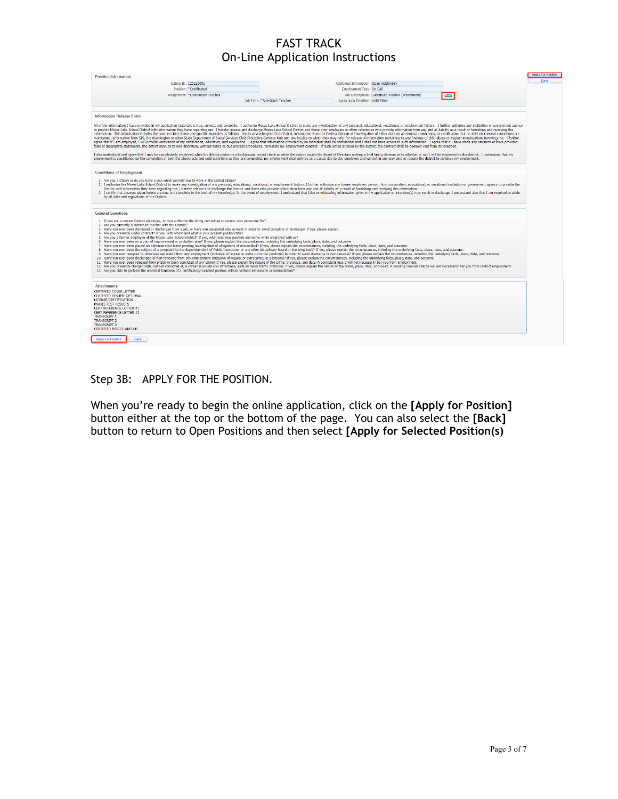| <b>Position Information</b>                                                                                                                                                                                                                                                                                                                                                                                                                                                                                                                                                                                                                                                                                                                                                                                                                                                                                                                                                                                                                                                                                                                                                                                                                                                                                                                                                                                                                                                                                                                                                                                                                |                               |                                                   |      | Apply For Position |
|--------------------------------------------------------------------------------------------------------------------------------------------------------------------------------------------------------------------------------------------------------------------------------------------------------------------------------------------------------------------------------------------------------------------------------------------------------------------------------------------------------------------------------------------------------------------------------------------------------------------------------------------------------------------------------------------------------------------------------------------------------------------------------------------------------------------------------------------------------------------------------------------------------------------------------------------------------------------------------------------------------------------------------------------------------------------------------------------------------------------------------------------------------------------------------------------------------------------------------------------------------------------------------------------------------------------------------------------------------------------------------------------------------------------------------------------------------------------------------------------------------------------------------------------------------------------------------------------------------------------------------------------|-------------------------------|---------------------------------------------------|------|--------------------|
| Listing ID: 120120001                                                                                                                                                                                                                                                                                                                                                                                                                                                                                                                                                                                                                                                                                                                                                                                                                                                                                                                                                                                                                                                                                                                                                                                                                                                                                                                                                                                                                                                                                                                                                                                                                      |                               | Additional Information: Open indefinitely         |      | <b>Back</b>        |
| Position: "Certificated                                                                                                                                                                                                                                                                                                                                                                                                                                                                                                                                                                                                                                                                                                                                                                                                                                                                                                                                                                                                                                                                                                                                                                                                                                                                                                                                                                                                                                                                                                                                                                                                                    |                               | Employment Type: On Call                          |      |                    |
| Assignment: "Elementary Teacher                                                                                                                                                                                                                                                                                                                                                                                                                                                                                                                                                                                                                                                                                                                                                                                                                                                                                                                                                                                                                                                                                                                                                                                                                                                                                                                                                                                                                                                                                                                                                                                                            |                               | Job Descriptions: Substitute Teacher (Attachment) | View |                    |
|                                                                                                                                                                                                                                                                                                                                                                                                                                                                                                                                                                                                                                                                                                                                                                                                                                                                                                                                                                                                                                                                                                                                                                                                                                                                                                                                                                                                                                                                                                                                                                                                                                            | Job Type: "Substitute Teacher | Application Deadline: Until Filled                |      |                    |
| <b>Information Release Form</b>                                                                                                                                                                                                                                                                                                                                                                                                                                                                                                                                                                                                                                                                                                                                                                                                                                                                                                                                                                                                                                                                                                                                                                                                                                                                                                                                                                                                                                                                                                                                                                                                            |                               |                                                   |      |                    |
| All of the information I have provided in my application materials is true, correct, and complete. I authorize Moses Lake School District to make any investigation of any personal, educational, vocational, or employment hi<br>to provide Moses Lake School District with information they have regarding me. I hereby release and discharge Moses Lake School District and those prior employers or other references who provide information from any and al<br>information. This information includes the sources cited above and specific examples as follows: the local Washington State Patrol, information from the Federal Bureau of Investigation of either data on all criminal convic<br>maintained, information from SPI, the Washington or other State Department of Social Services Child Protective Services Unit and any locality to which they may refer for release of information pertaining to any findings of<br>agree that if I am employed. I will provide verification of my certification, education, and experience. I agree that information provided by an individual shall be confidential and I shall not have access to such informat<br>false or incomplete statements, the district may, at its sole discretion, without notice or due process procedures, terminate my employment contract. If such action is taken by the district, the contract shall be deemed yo<br>I also understand and agree that I may be conditionally employed while the district performs a background record check or while the district awaits the Board of Directors making a final hiring decision as to whether or not |                               |                                                   |      |                    |
| employment is conditioned on the completion of both the above acts and until such time as they are completed, my employment shall only be as a casual day-to-day employee and will not in any way bind or require the district                                                                                                                                                                                                                                                                                                                                                                                                                                                                                                                                                                                                                                                                                                                                                                                                                                                                                                                                                                                                                                                                                                                                                                                                                                                                                                                                                                                                             |                               |                                                   |      |                    |
| <b>Conditions of Employment</b>                                                                                                                                                                                                                                                                                                                                                                                                                                                                                                                                                                                                                                                                                                                                                                                                                                                                                                                                                                                                                                                                                                                                                                                                                                                                                                                                                                                                                                                                                                                                                                                                            |                               |                                                   |      |                    |
| 1. Are you a citizen or do you have a visa which permits you to work in the United States?<br>2. I authorize the Moses Lake School District to make any investigation of any personal, educational, vocational, or employment history. I further authorize any former employer, person, firm, corporation, oducational, or v<br>District with information they have regarding me. I hereby release and discharge the District and those who provide information from any and all liability as a result of furnishing and receiving this information.<br>3. I certify that answers given herein are true and complete to the best of my knowledge. In the event of employment, I understand that false or misleading information given in my application or interview(s) may result in<br>by all rules and regulations of the District.                                                                                                                                                                                                                                                                                                                                                                                                                                                                                                                                                                                                                                                                                                                                                                                                     |                               |                                                   |      |                    |
| <b>General Questions</b><br>1. If you are a current District employee, do you authorize the hiring committee to review your personnel file?<br>2. Are you currently a substitute teacher with the District?<br>3. Have you ever been dismissed or discharged from a tob, or have you separated employment in order to avoid discipline or discharge? If yes, please explain.<br>4. Are you presently under contract? If yes, with whom and what is your present position/title?                                                                                                                                                                                                                                                                                                                                                                                                                                                                                                                                                                                                                                                                                                                                                                                                                                                                                                                                                                                                                                                                                                                                                            |                               |                                                   |      |                    |
| 5. Are you a former employee of the Moses Lake School District? If yes, what was your position and name while employed with us?<br>6. Have you ever been on a plan of improvement or probation plan? If yes, please explain the circumstances, including the underlying facts, place, date, and outcome.<br>7. Have you ever been placed on administrative leave pending investigation of allegations of misconduct? If yes, please explain the circumstances, including the underlying facts, place, date, and outcome.<br>8. Have you ever been the subject of a complaint to the Superintendent of Public Instruction or any other disciplinary board or licensing body? If yes, please explain the circumstances, including the underlying facts, plac<br>9. Have you ever resigned or otherwise separated from any employment (inclusive of regular or extra curricular positions) in order to avoid discharge or non-renewal? If yes, please explain the circumstances, including the                                                                                                                                                                                                                                                                                                                                                                                                                                                                                                                                                                                                                                                |                               |                                                   |      |                    |
| 10. Have you ever been discharged or non-renewed from any employment (inclusive of regular or extracurricular positions)? If yes, please explain the circumstances, including the underlying facts, place, date, and outcome.                                                                                                                                                                                                                                                                                                                                                                                                                                                                                                                                                                                                                                                                                                                                                                                                                                                                                                                                                                                                                                                                                                                                                                                                                                                                                                                                                                                                              |                               |                                                   |      |                    |
| 11. Have you ever been released from prison or been convicted of any crime? If yes, please explain the nature of the crime, the place, and date, A conviction record will not necessarily bar you from employment.<br>12. Are you presently charged with, but not convicted of, a crime? (Exclude civil infractions, such as minor traffic citations). If yes, please explain the nature of the crime, place, date, and court. A pending criminal ch<br>13. Are you able to perform the essential functions of a certificated/classified position with or without reasonable accommodation?                                                                                                                                                                                                                                                                                                                                                                                                                                                                                                                                                                                                                                                                                                                                                                                                                                                                                                                                                                                                                                                |                               |                                                   |      |                    |
| <b>Attachments</b>                                                                                                                                                                                                                                                                                                                                                                                                                                                                                                                                                                                                                                                                                                                                                                                                                                                                                                                                                                                                                                                                                                                                                                                                                                                                                                                                                                                                                                                                                                                                                                                                                         |                               |                                                   |      |                    |
| <b>CERTIFIED COVER LETTER</b><br>CERTIFIED RESUME-OPTIONAL<br>LICENSE/CERTIFICATION                                                                                                                                                                                                                                                                                                                                                                                                                                                                                                                                                                                                                                                                                                                                                                                                                                                                                                                                                                                                                                                                                                                                                                                                                                                                                                                                                                                                                                                                                                                                                        |                               |                                                   |      |                    |
| <b>PRAXIS TEST RESULTS</b><br>CERT REFERENCE LETTER #1<br>CERT REFERENCE LETTER #2<br><b>TRANSCRIPT 1</b>                                                                                                                                                                                                                                                                                                                                                                                                                                                                                                                                                                                                                                                                                                                                                                                                                                                                                                                                                                                                                                                                                                                                                                                                                                                                                                                                                                                                                                                                                                                                  |                               |                                                   |      |                    |
| <b>TRANSCRIPT 2</b><br><b>TRANSCRIPT 3</b><br>CERTIFIED MISCELLANEOUS                                                                                                                                                                                                                                                                                                                                                                                                                                                                                                                                                                                                                                                                                                                                                                                                                                                                                                                                                                                                                                                                                                                                                                                                                                                                                                                                                                                                                                                                                                                                                                      |                               |                                                   |      |                    |
| <b>Apply For Position</b><br>Back                                                                                                                                                                                                                                                                                                                                                                                                                                                                                                                                                                                                                                                                                                                                                                                                                                                                                                                                                                                                                                                                                                                                                                                                                                                                                                                                                                                                                                                                                                                                                                                                          |                               |                                                   |      |                    |

Step 3B: APPLY FOR THE POSITION.

When you're ready to begin the online application, click on the **[Apply for Position]**  button either at the top or the bottom of the page. You can also select the **[Back]** button to return to Open Positions and then select **[Apply for Selected Position(s)**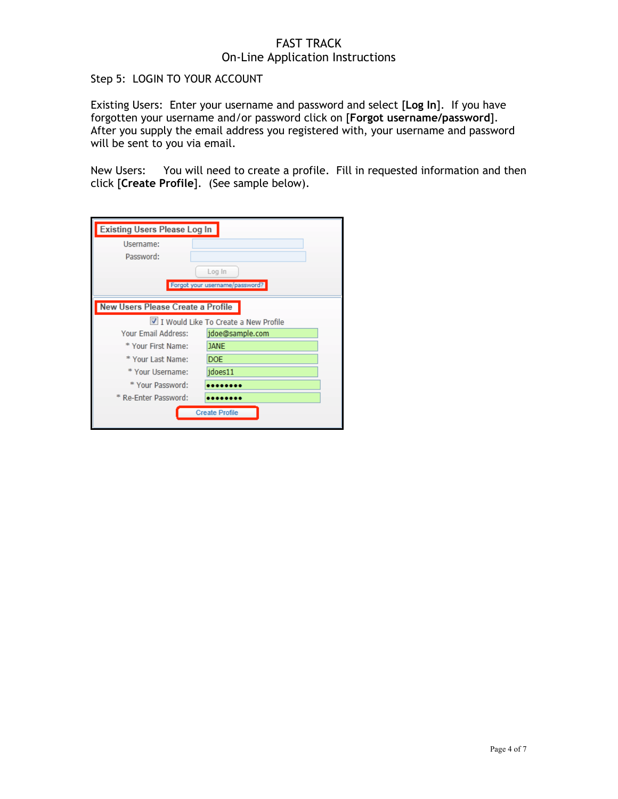Step 5: LOGIN TO YOUR ACCOUNT

Existing Users: Enter your username and password and select [**Log In**]. If you have forgotten your username and/or password click on [**Forgot username/password**]. After you supply the email address you registered with, your username and password will be sent to you via email.

New Users: You will need to create a profile. Fill in requested information and then click [**Create Profile**]. (See sample below).

| <b>Existing Users Please Log In</b> |                                          |  |  |  |  |  |  |  |
|-------------------------------------|------------------------------------------|--|--|--|--|--|--|--|
| Username:                           |                                          |  |  |  |  |  |  |  |
| Password:                           |                                          |  |  |  |  |  |  |  |
|                                     | Log In                                   |  |  |  |  |  |  |  |
|                                     | Forgot your username/password?           |  |  |  |  |  |  |  |
|                                     |                                          |  |  |  |  |  |  |  |
|                                     | <b>New Users Please Create a Profile</b> |  |  |  |  |  |  |  |
|                                     | I Would Like To Create a New Profile     |  |  |  |  |  |  |  |
| Your Email Address:                 | jdoe@sample.com                          |  |  |  |  |  |  |  |
| * Your First Name:                  | <b>JANE</b>                              |  |  |  |  |  |  |  |
| * Your Last Name:                   | <b>DOE</b>                               |  |  |  |  |  |  |  |
| * Your Username:                    | jdoes11                                  |  |  |  |  |  |  |  |
| * Your Password:                    |                                          |  |  |  |  |  |  |  |
| * Re-Enter Password:                |                                          |  |  |  |  |  |  |  |
| <b>Create Profile</b>               |                                          |  |  |  |  |  |  |  |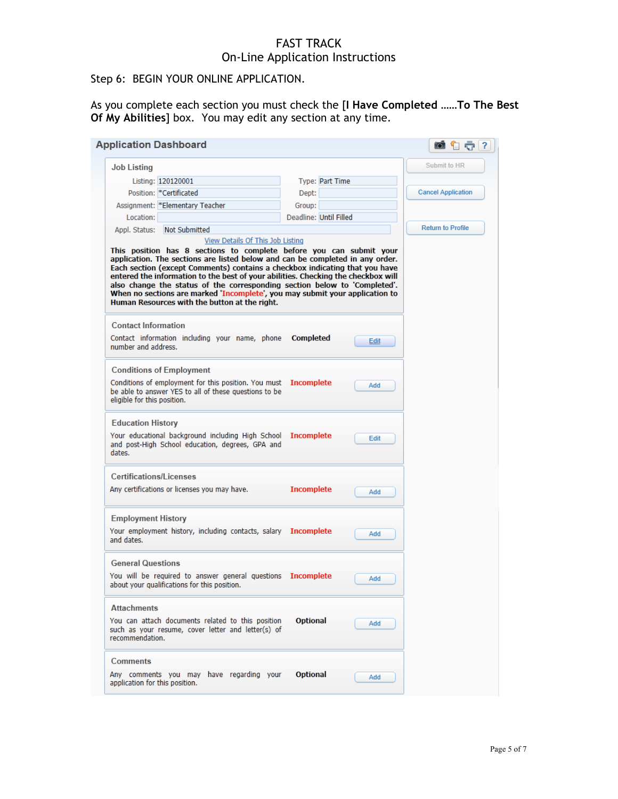## Step 6: BEGIN YOUR ONLINE APPLICATION.

As you complete each section you must check the [**I Have Completed ……To The Best Of My Abilities**] box. You may edit any section at any time.

| <b>Application Dashboard</b>                                                                                                                                                                                                                                                                                                                                                                                                                                                                                                           |                   |                        | ot t<br>?                 |
|----------------------------------------------------------------------------------------------------------------------------------------------------------------------------------------------------------------------------------------------------------------------------------------------------------------------------------------------------------------------------------------------------------------------------------------------------------------------------------------------------------------------------------------|-------------------|------------------------|---------------------------|
| <b>Job Listing</b>                                                                                                                                                                                                                                                                                                                                                                                                                                                                                                                     |                   |                        | Submit to HR              |
| Listing: 120120001                                                                                                                                                                                                                                                                                                                                                                                                                                                                                                                     |                   | Type: Part Time        |                           |
| Position: * Certificated                                                                                                                                                                                                                                                                                                                                                                                                                                                                                                               | Dept:             |                        | <b>Cancel Application</b> |
| Assignment: *Elementary Teacher                                                                                                                                                                                                                                                                                                                                                                                                                                                                                                        | Group:            |                        |                           |
| Location:                                                                                                                                                                                                                                                                                                                                                                                                                                                                                                                              |                   | Deadline: Until Filled |                           |
| Appl. Status: Not Submitted                                                                                                                                                                                                                                                                                                                                                                                                                                                                                                            |                   |                        | <b>Return to Profile</b>  |
| View Details Of This Job Listing                                                                                                                                                                                                                                                                                                                                                                                                                                                                                                       |                   |                        |                           |
| This position has 8 sections to complete before you can submit your<br>application. The sections are listed below and can be completed in any order.<br>Each section (except Comments) contains a checkbox indicating that you have<br>entered the information to the best of your abilities. Checking the checkbox will<br>also change the status of the corresponding section below to 'Completed'.<br>When no sections are marked 'Incomplete', you may submit your application to<br>Human Resources with the button at the right. |                   |                        |                           |
| <b>Contact Information</b><br>Contact information including your name, phone                                                                                                                                                                                                                                                                                                                                                                                                                                                           | <b>Completed</b>  |                        |                           |
| number and address.                                                                                                                                                                                                                                                                                                                                                                                                                                                                                                                    |                   | Edit                   |                           |
| <b>Conditions of Employment</b>                                                                                                                                                                                                                                                                                                                                                                                                                                                                                                        |                   |                        |                           |
| Conditions of employment for this position. You must Incomplete<br>be able to answer YES to all of these questions to be<br>eligible for this position.                                                                                                                                                                                                                                                                                                                                                                                |                   | Add                    |                           |
| <b>Education History</b><br>Your educational background including High School Incomplete<br>and post-High School education, degrees, GPA and<br>dates.                                                                                                                                                                                                                                                                                                                                                                                 |                   | Edit                   |                           |
| <b>Certifications/Licenses</b>                                                                                                                                                                                                                                                                                                                                                                                                                                                                                                         |                   |                        |                           |
| Any certifications or licenses you may have.                                                                                                                                                                                                                                                                                                                                                                                                                                                                                           | <b>Incomplete</b> | Add                    |                           |
| <b>Employment History</b>                                                                                                                                                                                                                                                                                                                                                                                                                                                                                                              |                   |                        |                           |
| Your employment history, including contacts, salary Incomplete<br>and dates.                                                                                                                                                                                                                                                                                                                                                                                                                                                           |                   | Add                    |                           |
| <b>General Questions</b>                                                                                                                                                                                                                                                                                                                                                                                                                                                                                                               |                   |                        |                           |
| You will be required to answer general questions Incomplete<br>about your qualifications for this position.                                                                                                                                                                                                                                                                                                                                                                                                                            |                   | Add                    |                           |
| <b>Attachments</b>                                                                                                                                                                                                                                                                                                                                                                                                                                                                                                                     |                   |                        |                           |
| You can attach documents related to this position<br>such as your resume, cover letter and letter(s) of<br>recommendation.                                                                                                                                                                                                                                                                                                                                                                                                             | <b>Optional</b>   | Add                    |                           |
| <b>Comments</b>                                                                                                                                                                                                                                                                                                                                                                                                                                                                                                                        |                   |                        |                           |
| Any comments you may have regarding your<br>application for this position.                                                                                                                                                                                                                                                                                                                                                                                                                                                             | <b>Optional</b>   | Add                    |                           |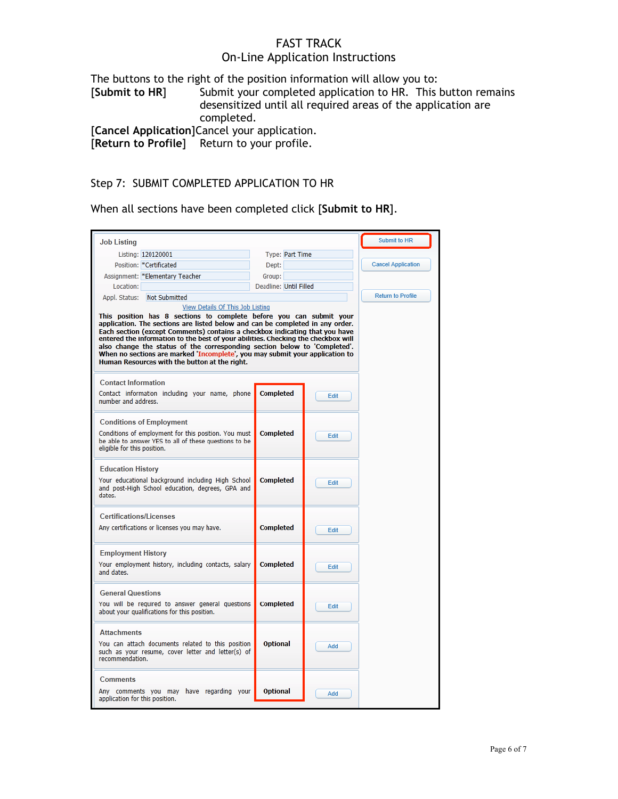#### FAST TRACK

# On-Line Application Instructions

The buttons to the right of the position information will allow you to: [**Submit to HR**] Submit your completed application to HR. This button remains desensitized until all required areas of the application are completed. [**Cancel Application**]Cancel your application.

Return to your profile.

#### Step 7: SUBMIT COMPLETED APPLICATION TO HR

When all sections have been completed click [**Submit to HR**].

| <b>Job Listing</b>                                                                                                                                                                                                                                                                                                                                                                                                                                                                                                                                                         |                        |                 |      | <b>Submit to HR</b>       |
|----------------------------------------------------------------------------------------------------------------------------------------------------------------------------------------------------------------------------------------------------------------------------------------------------------------------------------------------------------------------------------------------------------------------------------------------------------------------------------------------------------------------------------------------------------------------------|------------------------|-----------------|------|---------------------------|
| Listing: 120120001                                                                                                                                                                                                                                                                                                                                                                                                                                                                                                                                                         |                        | Type: Part Time |      |                           |
| Position: * Certificated                                                                                                                                                                                                                                                                                                                                                                                                                                                                                                                                                   | Dept:                  |                 |      | <b>Cancel Application</b> |
| Assignment: * Elementary Teacher                                                                                                                                                                                                                                                                                                                                                                                                                                                                                                                                           | Group:                 |                 |      |                           |
| Location:                                                                                                                                                                                                                                                                                                                                                                                                                                                                                                                                                                  | Deadline: Until Filled |                 |      |                           |
| Appl. Status: Not Submitted                                                                                                                                                                                                                                                                                                                                                                                                                                                                                                                                                |                        |                 |      | <b>Return to Profile</b>  |
| View Details Of This Job Listing<br>This position has 8 sections to complete before you can submit your<br>application. The sections are listed below and can be completed in any order.<br>Each section (except Comments) contains a checkbox indicating that you have<br>entered the information to the best of your abilities. Checking the checkbox will<br>also change the status of the corresponding section below to 'Completed'.<br>When no sections are marked 'Incomplete', you may submit your application to<br>Human Resources with the button at the right. |                        |                 |      |                           |
| <b>Contact Information</b>                                                                                                                                                                                                                                                                                                                                                                                                                                                                                                                                                 |                        |                 |      |                           |
| Contact information including your name, phone<br>number and address.                                                                                                                                                                                                                                                                                                                                                                                                                                                                                                      | <b>Completed</b>       |                 | Edit |                           |
| <b>Conditions of Employment</b><br>Conditions of employment for this position. You must<br>be able to answer YES to all of these questions to be<br>eligible for this position.                                                                                                                                                                                                                                                                                                                                                                                            | <b>Completed</b>       |                 | Edit |                           |
| <b>Education History</b><br>Your educational background including High School<br>and post-High School education, degrees, GPA and<br>dates.                                                                                                                                                                                                                                                                                                                                                                                                                                | <b>Completed</b>       |                 | Edit |                           |
| <b>Certifications/Licenses</b>                                                                                                                                                                                                                                                                                                                                                                                                                                                                                                                                             |                        |                 |      |                           |
| Any certifications or licenses you may have.                                                                                                                                                                                                                                                                                                                                                                                                                                                                                                                               | <b>Completed</b>       |                 | Edit |                           |
| <b>Employment History</b><br>Your employment history, including contacts, salary<br>and dates.                                                                                                                                                                                                                                                                                                                                                                                                                                                                             | <b>Completed</b>       |                 | Edit |                           |
| <b>General Questions</b><br>You will be required to answer general questions<br>about your qualifications for this position.                                                                                                                                                                                                                                                                                                                                                                                                                                               | <b>Completed</b>       |                 | Edit |                           |
| <b>Attachments</b><br>You can attach documents related to this position<br>such as your resume, cover letter and letter(s) of<br>recommendation.                                                                                                                                                                                                                                                                                                                                                                                                                           | <b>Optional</b>        |                 | Add  |                           |
| Comments<br>Any comments you may have regarding your<br>application for this position.                                                                                                                                                                                                                                                                                                                                                                                                                                                                                     | <b>Optional</b>        |                 | Add  |                           |